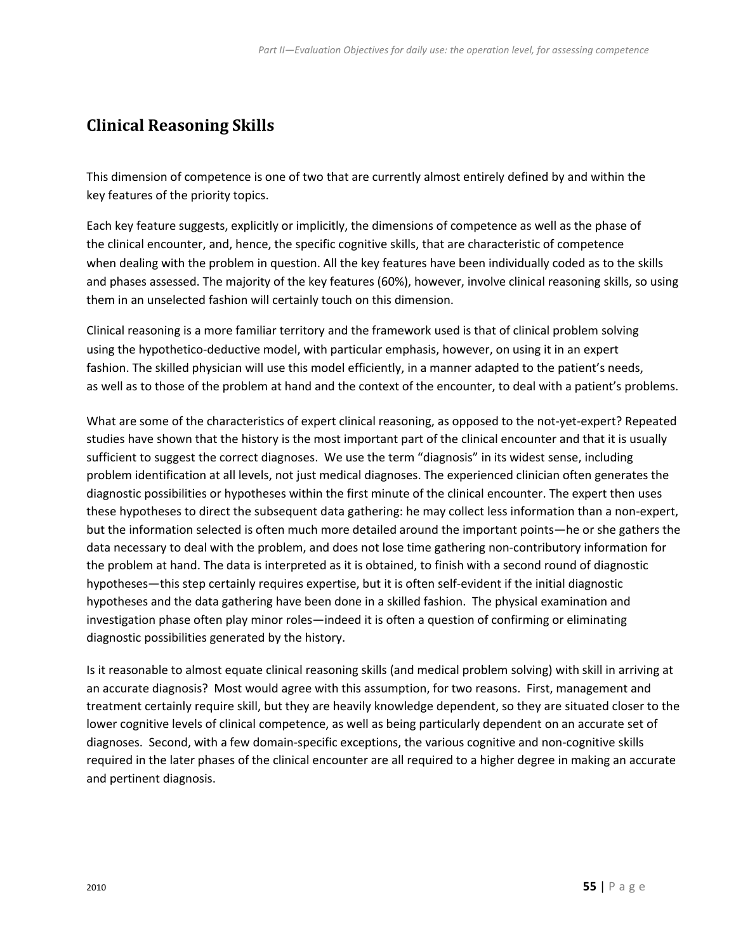## **Clinical Reasoning Skills**

This dimension of competence is one of two that are currently almost entirely defined by and within the key features of the priority topics.

 when dealing with the problem in question. All the key features have been individually coded as to the skills Each key feature suggests, explicitly or implicitly, the dimensions of competence as well as the phase of the clinical encounter, and, hence, the specific cognitive skills, that are characteristic of competence and phases assessed. The majority of the key features (60%), however, involve clinical reasoning skills, so using them in an unselected fashion will certainly touch on this dimension.

 as well as to those of the problem at hand and the context of the encounter, to deal with a patient's problems. Clinical reasoning is a more familiar territory and the framework used is that of clinical problem solving using the hypothetico-deductive model, with particular emphasis, however, on using it in an expert fashion. The skilled physician will use this model efficiently, in a manner adapted to the patient's needs,

 but the information selected is often much more detailed around the important points—he or she gathers the What are some of the characteristics of expert clinical reasoning, as opposed to the not-yet-expert? Repeated studies have shown that the history is the most important part of the clinical encounter and that it is usually sufficient to suggest the correct diagnoses. We use the term "diagnosis" in its widest sense, including problem identification at all levels, not just medical diagnoses. The experienced clinician often generates the diagnostic possibilities or hypotheses within the first minute of the clinical encounter. The expert then uses these hypotheses to direct the subsequent data gathering: he may collect less information than a non-expert, data necessary to deal with the problem, and does not lose time gathering non-contributory information for the problem at hand. The data is interpreted as it is obtained, to finish with a second round of diagnostic hypotheses—this step certainly requires expertise, but it is often self-evident if the initial diagnostic hypotheses and the data gathering have been done in a skilled fashion. The physical examination and investigation phase often play minor roles—indeed it is often a question of confirming or eliminating diagnostic possibilities generated by the history.

Is it reasonable to almost equate clinical reasoning skills (and medical problem solving) with skill in arriving at an accurate diagnosis? Most would agree with this assumption, for two reasons. First, management and treatment certainly require skill, but they are heavily knowledge dependent, so they are situated closer to the lower cognitive levels of clinical competence, as well as being particularly dependent on an accurate set of diagnoses. Second, with a few domain-specific exceptions, the various cognitive and non-cognitive skills required in the later phases of the clinical encounter are all required to a higher degree in making an accurate and pertinent diagnosis.